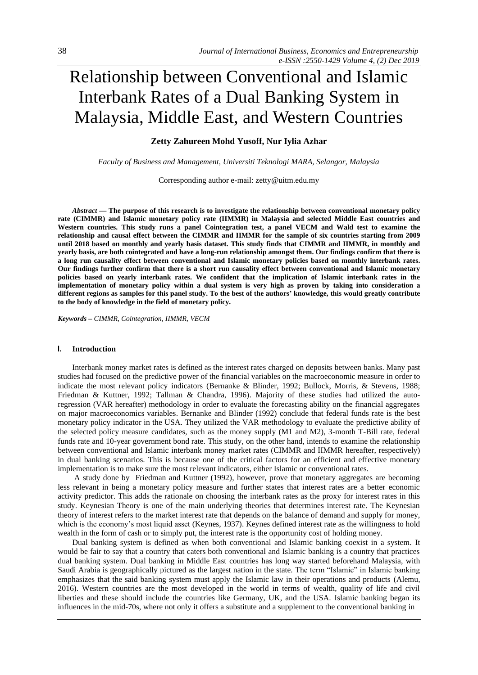# Relationship between Conventional and Islamic Interbank Rates of a Dual Banking System in Malaysia, Middle East, and Western Countries

## **Zetty Zahureen Mohd Yusoff, Nur Iylia Azhar**

*Faculty of Business and Management, Universiti Teknologi MARA, Selangor, Malaysia*

Corresponding author e-mail: zetty@uitm.edu.my

*Abstract —* **The purpose of this research is to investigate the relationship between conventional monetary policy rate (CIMMR) and Islamic monetary policy rate (IIMMR) in Malaysia and selected Middle East countries and Western countries. This study runs a panel Cointegration test, a panel VECM and Wald test to examine the relationship and causal effect between the CIMMR and IIMMR for the sample of six countries starting from 2009 until 2018 based on monthly and yearly basis dataset. This study finds that CIMMR and IIMMR, in monthly and yearly basis, are both cointegrated and have a long-run relationship amongst them. Our findings confirm that there is a long run causality effect between conventional and Islamic monetary policies based on monthly interbank rates. Our findings further confirm that there is a short run causality effect between conventional and Islamic monetary policies based on yearly interbank rates. We confident that the implication of Islamic interbank rates in the implementation of monetary policy within a dual system is very high as proven by taking into consideration a different regions as samples for this panel study. To the best of the authors' knowledge, this would greatly contribute to the body of knowledge in the field of monetary policy.** 

*Keywords – CIMMR, Cointegration, IIMMR, VECM* 

### **I. Introduction**

Interbank money market rates is defined as the interest rates charged on deposits between banks. Many past studies had focused on the predictive power of the financial variables on the macroeconomic measure in order to indicate the most relevant policy indicators (Bernanke & Blinder, 1992; Bullock, Morris, & Stevens, 1988; Friedman & Kuttner, 1992; Tallman & Chandra, 1996). Majority of these studies had utilized the autoregression (VAR hereafter) methodology in order to evaluate the forecasting ability on the financial aggregates on major macroeconomics variables. Bernanke and Blinder (1992) conclude that federal funds rate is the best monetary policy indicator in the USA. They utilized the VAR methodology to evaluate the predictive ability of the selected policy measure candidates, such as the money supply (M1 and M2), 3-month T-Bill rate, federal funds rate and 10-year government bond rate. This study, on the other hand, intends to examine the relationship between conventional and Islamic interbank money market rates (CIMMR and IIMMR hereafter, respectively) in dual banking scenarios. This is because one of the critical factors for an efficient and effective monetary implementation is to make sure the most relevant indicators, either Islamic or conventional rates.

A study done by Friedman and Kuttner (1992), however, prove that monetary aggregates are becoming less relevant in being a monetary policy measure and further states that interest rates are a better economic activity predictor. This adds the rationale on choosing the interbank rates as the proxy for interest rates in this study. Keynesian Theory is one of the main underlying theories that determines interest rate. The Keynesian theory of interest refers to the market interest rate that depends on the balance of demand and supply for money, which is the economy's most liquid asset (Keynes, 1937). Keynes defined interest rate as the willingness to hold wealth in the form of cash or to simply put, the interest rate is the opportunity cost of holding money.

Dual banking system is defined as when both conventional and Islamic banking coexist in a system. It would be fair to say that a country that caters both conventional and Islamic banking is a country that practices dual banking system. Dual banking in Middle East countries has long way started beforehand Malaysia, with Saudi Arabia is geographically pictured as the largest nation in the state. The term "Islamic" in Islamic banking emphasizes that the said banking system must apply the Islamic law in their operations and products (Alemu, 2016). Western countries are the most developed in the world in terms of wealth, quality of life and civil liberties and these should include the countries like Germany, UK, and the USA. Islamic banking began its influences in the mid-70s, where not only it offers a substitute and a supplement to the conventional banking in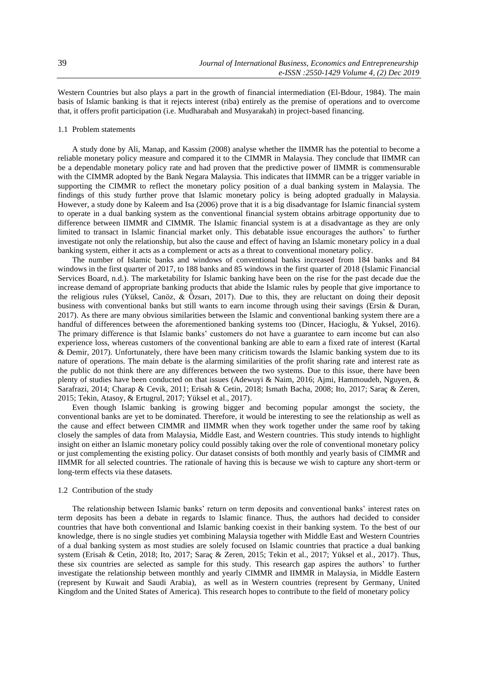Western Countries but also plays a part in the growth of financial intermediation (El-Bdour, 1984). The main basis of Islamic banking is that it rejects interest (riba) entirely as the premise of operations and to overcome that, it offers profit participation (i.e. Mudharabah and Musyarakah) in project-based financing.

# 1.1 Problem statements

A study done by Ali, Manap, and Kassim (2008) analyse whether the IIMMR has the potential to become a reliable monetary policy measure and compared it to the CIMMR in Malaysia. They conclude that IIMMR can be a dependable monetary policy rate and had proven that the predictive power of IIMMR is commensurable with the CIMMR adopted by the Bank Negara Malaysia. This indicates that IIMMR can be a trigger variable in supporting the CIMMR to reflect the monetary policy position of a dual banking system in Malaysia. The findings of this study further prove that Islamic monetary policy is being adopted gradually in Malaysia. However, a study done by Kaleem and Isa (2006) prove that it is a big disadvantage for Islamic financial system to operate in a dual banking system as the conventional financial system obtains arbitrage opportunity due to difference between IIMMR and CIMMR. The Islamic financial system is at a disadvantage as they are only limited to transact in Islamic financial market only. This debatable issue encourages the authors' to further investigate not only the relationship, but also the cause and effect of having an Islamic monetary policy in a dual banking system, either it acts as a complement or acts as a threat to conventional monetary policy.

The number of Islamic banks and windows of conventional banks increased from 184 banks and 84 windows in the first quarter of 2017, to 188 banks and 85 windows in the first quarter of 2018 (Islamic Financial Services Board, n.d.). The marketability for Islamic banking have been on the rise for the past decade due the increase demand of appropriate banking products that abide the Islamic rules by people that give importance to the religious rules (Yüksel, Canöz, & Özsarı, 2017). Due to this, they are reluctant on doing their deposit business with conventional banks but still wants to earn income through using their savings (Ersin & Duran, 2017). As there are many obvious similarities between the Islamic and conventional banking system there are a handful of differences between the aforementioned banking systems too (Dincer, Hacioglu, & Yuksel, 2016). The primary difference is that Islamic banks' customers do not have a guarantee to earn income but can also experience loss, whereas customers of the conventional banking are able to earn a fixed rate of interest (Kartal & Demir, 2017). Unfortunately, there have been many criticism towards the Islamic banking system due to its nature of operations. The main debate is the alarming similarities of the profit sharing rate and interest rate as the public do not think there are any differences between the two systems. Due to this issue, there have been plenty of studies have been conducted on that issues (Adewuyi & Naim, 2016; Ajmi, Hammoudeh, Nguyen, & Sarafrazi, 2014; Charap & Cevik, 2011; Erisah & Cetin, 2018; Ismath Bacha, 2008; Ito, 2017; Saraç & Zeren, 2015; Tekin, Atasoy, & Ertugrul, 2017; Yüksel et al., 2017).

Even though Islamic banking is growing bigger and becoming popular amongst the society, the conventional banks are yet to be dominated. Therefore, it would be interesting to see the relationship as well as the cause and effect between CIMMR and IIMMR when they work together under the same roof by taking closely the samples of data from Malaysia, Middle East, and Western countries. This study intends to highlight insight on either an Islamic monetary policy could possibly taking over the role of conventional monetary policy or just complementing the existing policy. Our dataset consists of both monthly and yearly basis of CIMMR and IIMMR for all selected countries. The rationale of having this is because we wish to capture any short-term or long-term effects via these datasets.

#### 1.2 Contribution of the study

The relationship between Islamic banks' return on term deposits and conventional banks' interest rates on term deposits has been a debate in regards to Islamic finance. Thus, the authors had decided to consider countries that have both conventional and Islamic banking coexist in their banking system. To the best of our knowledge, there is no single studies yet combining Malaysia together with Middle East and Western Countries of a dual banking system as most studies are solely focused on Islamic countries that practice a dual banking system (Erisah & Cetin, 2018; Ito, 2017; Saraç & Zeren, 2015; Tekin et al., 2017; Yüksel et al., 2017). Thus, these six countries are selected as sample for this study. This research gap aspires the authors' to further investigate the relationship between monthly and yearly CIMMR and IIMMR in Malaysia, in Middle Eastern (represent by Kuwait and Saudi Arabia), as well as in Western countries (represent by Germany, United Kingdom and the United States of America). This research hopes to contribute to the field of monetary policy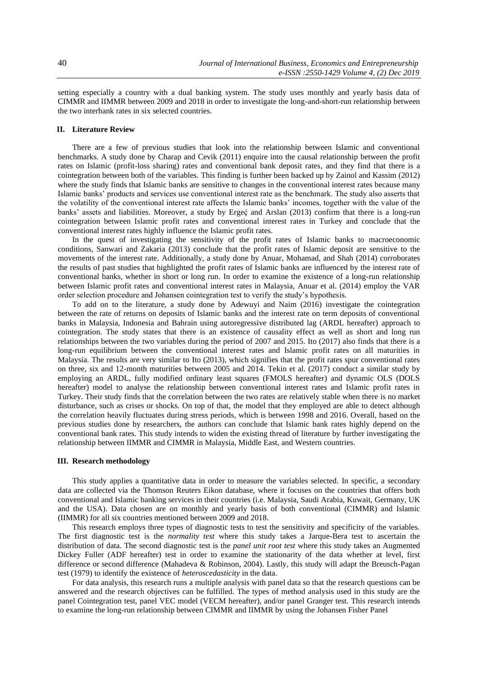setting especially a country with a dual banking system. The study uses monthly and yearly basis data of CIMMR and IIMMR between 2009 and 2018 in order to investigate the long-and-short-run relationship between the two interbank rates in six selected countries.

# **II. Literature Review**

There are a few of previous studies that look into the relationship between Islamic and conventional benchmarks. A study done by Charap and Cevik (2011) enquire into the causal relationship between the profit rates on Islamic (profit-loss sharing) rates and conventional bank deposit rates, and they find that there is a cointegration between both of the variables. This finding is further been backed up by Zainol and Kassim (2012) where the study finds that Islamic banks are sensitive to changes in the conventional interest rates because many Islamic banks' products and services use conventional interest rate as the benchmark. The study also asserts that the volatility of the conventional interest rate affects the Islamic banks' incomes, together with the value of the banks' assets and liabilities. Moreover, a study by Ergeç and Arslan (2013) confirm that there is a long-run cointegration between Islamic profit rates and conventional interest rates in Turkey and conclude that the conventional interest rates highly influence the Islamic profit rates.

In the quest of investigating the sensitivity of the profit rates of Islamic banks to macroeconomic conditions, Sanwari and Zakaria (2013) conclude that the profit rates of Islamic deposit are sensitive to the movements of the interest rate. Additionally, a study done by Anuar, Mohamad, and Shah (2014) corroborates the results of past studies that highlighted the profit rates of Islamic banks are influenced by the interest rate of conventional banks, whether in short or long run. In order to examine the existence of a long-run relationship between Islamic profit rates and conventional interest rates in Malaysia, Anuar et al. (2014) employ the VAR order selection procedure and Johansen cointegration test to verify the study's hypothesis.

To add on to the literature, a study done by Adewuyi and Naim (2016) investigate the cointegration between the rate of returns on deposits of Islamic banks and the interest rate on term deposits of conventional banks in Malaysia, Indonesia and Bahrain using autoregressive distributed lag (ARDL hereafter) approach to cointegration. The study states that there is an existence of causality effect as well as short and long run relationships between the two variables during the period of 2007 and 2015. Ito (2017) also finds that there is a long-run equilibrium between the conventional interest rates and Islamic profit rates on all maturities in Malaysia. The results are very similar to Ito (2013), which signifies that the profit rates spur conventional rates on three, six and 12-month maturities between 2005 and 2014. Tekin et al. (2017) conduct a similar study by employing an ARDL, fully modified ordinary least squares (FMOLS hereafter) and dynamic OLS (DOLS hereafter) model to analyse the relationship between conventional interest rates and Islamic profit rates in Turkey. Their study finds that the correlation between the two rates are relatively stable when there is no market disturbance, such as crises or shocks. On top of that, the model that they employed are able to detect although the correlation heavily fluctuates during stress periods, which is between 1998 and 2016. Overall, based on the previous studies done by researchers, the authors can conclude that Islamic bank rates highly depend on the conventional bank rates. This study intends to widen the existing thread of literature by further investigating the relationship between IIMMR and CIMMR in Malaysia, Middle East, and Western countries.

#### **III. Research methodology**

This study applies a quantitative data in order to measure the variables selected. In specific, a secondary data are collected via the Thomson Reuters Eikon database, where it focuses on the countries that offers both conventional and Islamic banking services in their countries (i.e. Malaysia, Saudi Arabia, Kuwait, Germany, UK and the USA). Data chosen are on monthly and yearly basis of both conventional (CIMMR) and Islamic (IIMMR) for all six countries mentioned between 2009 and 2018.

This research employs three types of diagnostic tests to test the sensitivity and specificity of the variables. The first diagnostic test is the *normality test* where this study takes a Jarque-Bera test to ascertain the distribution of data. The second diagnostic test is the *panel unit root test* where this study takes an Augmented Dickey Fuller (ADF hereafter) test in order to examine the stationarity of the data whether at level, first difference or second difference (Mahadeva & Robinson, 2004). Lastly, this study will adapt the Breusch-Pagan test (1979) to identify the existence of *heteroscedasticity* in the data.

For data analysis, this research runs a multiple analysis with panel data so that the research questions can be answered and the research objectives can be fulfilled. The types of method analysis used in this study are the panel Cointegration test, panel VEC model (VECM hereafter), and/or panel Granger test. This research intends to examine the long-run relationship between CIMMR and IIMMR by using the Johansen Fisher Panel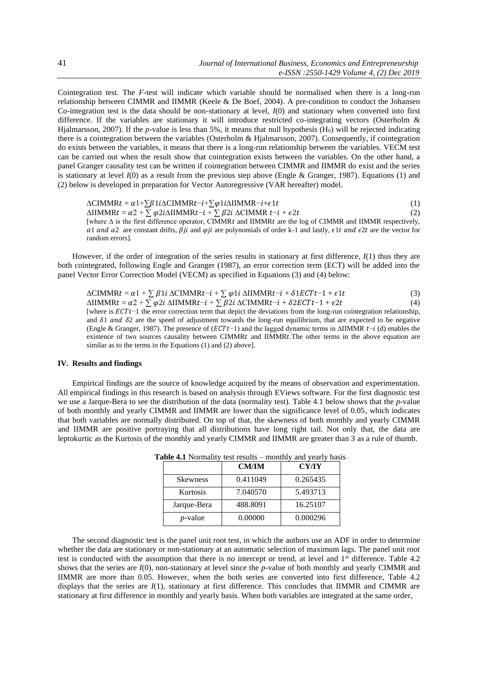Cointegration test. The *F*-test will indicate which variable should be normalised when there is a long-run relationship between CIMMR and IIMMR (Keele & De Boef, 2004). A pre-condition to conduct the Johansen Co-integration test is the data should be non-stationary at level, *I*(0) and stationary when converted into first difference. If the variables are stationary it will introduce restricted co-integrating vectors (Osterholm & Hjalmarsson, 2007). If the *p*-value is less than 5%, it means that null hypothesis (H<sub>0</sub>) will be rejected indicating there is a cointegration between the variables (Osterholm & Hjalmarsson, 2007). Consequently, if cointegration do exists between the variables, it means that there is a long-run relationship between the variables. VECM test can be carried out when the result show that cointegration exists between the variables. On the other hand, a panel Granger causality test can be written if cointegration between CIMMR and IIMMR do exist and the series is stationary at level *I*(0) as a result from the previous step above (Engle & Granger, 1987). Equations (1) and (2) below is developed in preparation for Vector Autoregressive (VAR hereafter) model.

 $\Delta$ CIMMR $t = \alpha 1 + \sum \beta 1 i \Delta$ CIMMR $t - i + \sum \varphi 1 i \Delta$ IIMMR $-i + \epsilon 1 t$  (1)  $\triangle$ IIMMR  $t = \alpha 2 + \sum \varphi 2i\triangle$ IIMMR  $t-i + \sum \beta 2i\triangle$ CIMMR  $t-i + \epsilon 2t$  (2) [where  $\Delta$  is the first difference operator, CIMMRt and IIMMRt are the log of CIMMR and IIMMR respectively,  $\alpha$ 1 and  $\alpha$ 2 are constant drifts,  $\beta$ ji and  $\varphi$ ji are polynomials of order k-1 and lastly,  $\epsilon$ 1t and  $\epsilon$ 2t are the vector for random errors].

However, if the order of integration of the series results in stationary at first difference, *I*(1) thus they are both cointegrated, following Engle and Granger (1987), an error correction term (ECT) will be added into the panel Vector Error Correction Model (VECM) as specified in Equations (3) and (4) below:

$$
\Delta \text{CIMMRL} = \alpha 1 + \sum \beta 1 i \Delta \text{CIMMRL} - i + \sum \varphi 1 i \Delta \text{IIMMRL} - i + \delta 1 E C T t - 1 + \epsilon 1 t \tag{3}
$$

 $\Delta$ IIMMR  $t = \alpha^2 + \sum \varphi^2 i \Delta$ IIMMR  $t-i + \sum \beta^2 i \Delta$ CIMMR  $t-i + \delta^2 2^i E$ CT $t-1 + \epsilon^2 2^i$  (4) [where is  $ECTt-1$  the error correction term that depict the deviations from the long-run cointegration relationship, and  $\delta$ 1 and  $\delta$ 2 are the speed of adjustment towards the long-run equilibrium, that are expected to be negative (Engle & Granger, 1987). The presence of ( $ECTt-1$ ) and the lagged dynamic terms in  $\triangle I$ IMMR  $t-i$  (d) enables the existence of two sources causality between CIMMRt and IIMMRt. The other terms in the above equation are similar as to the terms in the Equations (1) and (2) above].

## **IV. Results and findings**

Empirical findings are the source of knowledge acquired by the means of observation and experimentation. All empirical findings in this research is based on analysis through EViews software. For the first diagnostic test we use a Jarque-Bera to see the distribution of the data (normality test). Table 4.1 below shows that the *p*-value of both monthly and yearly CIMMR and IIMMR are lower than the significance level of 0.05, which indicates that both variables are normally distributed. On top of that, the skewness of both monthly and yearly CIMMR and IIMMR are positive portraying that all distributions have long right tail. Not only that, the data are leptokurtic as the Kurtosis of the monthly and yearly CIMMR and IIMMR are greater than 3 as a rule of thumb.

|                 | <b>CM/IM</b> | <b>CY/IY</b> |
|-----------------|--------------|--------------|
| <b>Skewness</b> | 0.411049     | 0.265435     |
| Kurtosis        | 7.040570     | 5.493713     |
| Jarque-Bera     | 488.8091     | 16.25107     |
| $p$ -value      | 0.00000      | 0.000296     |

**Table 4.1** Normality test results – monthly and yearly basis

The second diagnostic test is the panel unit root test, in which the authors use an ADF in order to determine whether the data are stationary or non-stationary at an automatic selection of maximum lags. The panel unit root test is conducted with the assumption that there is no intercept or trend, at level and 1<sup>st</sup> difference. Table 4.2 shows that the series are  $I(0)$ , non-stationary at level since the *p*-value of both monthly and yearly CIMMR and IIMMR are more than 0.05. However, when the both series are converted into first difference, Table 4.2 displays that the series are *I*(1), stationary at first difference. This concludes that IIMMR and CIMMR are stationary at first difference in monthly and yearly basis. When both variables are integrated at the same order,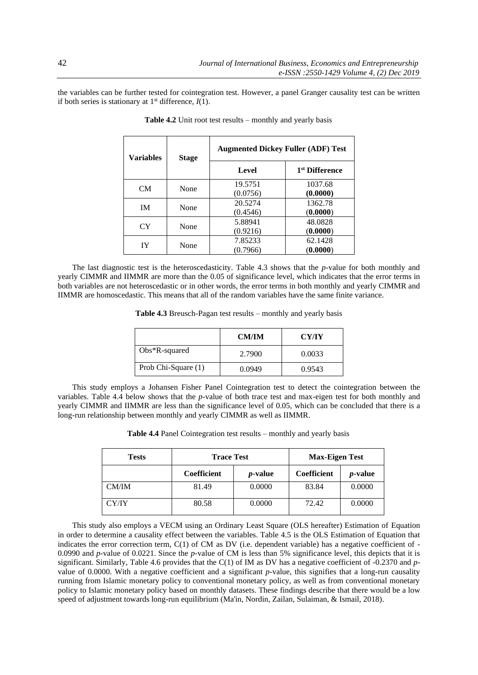the variables can be further tested for cointegration test. However, a panel Granger causality test can be written if both series is stationary at  $1<sup>st</sup>$  difference,  $I(1)$ .

| <b>Variables</b> | <b>Stage</b> | <b>Augmented Dickey Fuller (ADF) Test</b> |                            |
|------------------|--------------|-------------------------------------------|----------------------------|
|                  |              | Level                                     | 1 <sup>st</sup> Difference |
| CM               | None         | 19.5751                                   | 1037.68                    |
|                  |              | (0.0756)                                  | (0.0000)                   |
| IM               | None         | 20.5274                                   | 1362.78                    |
|                  |              | (0.4546)                                  | (0.0000)                   |
| <b>CY</b>        | None         | 5.88941                                   | 48.0828                    |
|                  |              | (0.9216)                                  | (0.0000)                   |
| IY               | None         | 7.85233                                   | 62.1428                    |
|                  |              | (0.7966)                                  | (0.0000)                   |

 **Table 4.2** Unit root test results – monthly and yearly basis

The last diagnostic test is the heteroscedasticity. Table 4.3 shows that the *p*-value for both monthly and yearly CIMMR and IIMMR are more than the 0.05 of significance level, which indicates that the error terms in both variables are not heteroscedastic or in other words, the error terms in both monthly and yearly CIMMR and IIMMR are homoscedastic. This means that all of the random variables have the same finite variance.

**Table 4.3** Breusch-Pagan test results – monthly and yearly basis

|                     | <b>CM/IM</b> | <b>CY/IY</b> |
|---------------------|--------------|--------------|
| $Obs*R$ -squared    | 2.7900       | 0.0033       |
| Prob Chi-Square (1) | 0.0949       | 0.9543       |

This study employs a Johansen Fisher Panel Cointegration test to detect the cointegration between the variables. Table 4.4 below shows that the *p*-value of both trace test and max-eigen test for both monthly and yearly CIMMR and IIMMR are less than the significance level of 0.05, which can be concluded that there is a long-run relationship between monthly and yearly CIMMR as well as IIMMR.

**Table 4.4** Panel Cointegration test results – monthly and yearly basis

| <b>Tests</b> | <b>Trace Test</b> |                 | <b>Max-Eigen Test</b> |                 |
|--------------|-------------------|-----------------|-----------------------|-----------------|
|              | Coefficient       | <i>p</i> -value | <b>Coefficient</b>    | <i>p</i> -value |
| CM/IM        | 81.49             | 0.0000          | 83.84                 | 0.0000          |
| <b>CY/IY</b> | 80.58             | 0.0000          | 72.42                 | 0.0000          |

This study also employs a VECM using an Ordinary Least Square (OLS hereafter) Estimation of Equation in order to determine a causality effect between the variables. Table 4.5 is the OLS Estimation of Equation that indicates the error correction term, C(1) of CM as DV (i.e. dependent variable) has a negative coefficient of - 0.0990 and *p*-value of 0.0221. Since the *p*-value of CM is less than 5% significance level, this depicts that it is significant. Similarly, Table 4.6 provides that the C(1) of IM as DV has a negative coefficient of -0.2370 and *p*value of 0.0000. With a negative coefficient and a significant *p*-value, this signifies that a long-run causality running from Islamic monetary policy to conventional monetary policy, as well as from conventional monetary policy to Islamic monetary policy based on monthly datasets. These findings describe that there would be a low speed of adjustment towards long-run equilibrium (Ma'in, Nordin, Zailan, Sulaiman, & Ismail, 2018).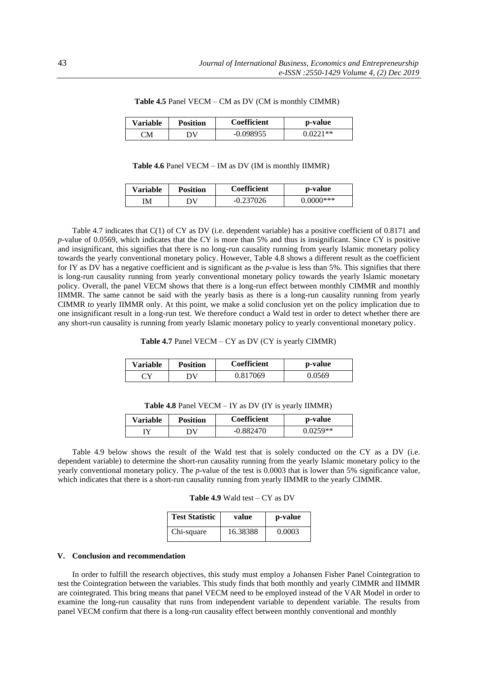| <b>Variable</b>         | <b>Position</b> | <b>Coefficient</b> | p-value    |
|-------------------------|-----------------|--------------------|------------|
| $\bigcirc$ M $\bigcirc$ | эv              | -0.098955          | $0.0221**$ |

 **Table 4.5** Panel VECM – CM as DV (CM is monthly CIMMR)

 **Table 4.6** Panel VECM – IM as DV (IM is monthly IIMMR)

| Variable | Position | <b>Coefficient</b> | p-value      |
|----------|----------|--------------------|--------------|
| IΜ       | W        | $-0.237026$        | $0.0000$ *** |

Table 4.7 indicates that C(1) of CY as DV (i.e. dependent variable) has a positive coefficient of 0.8171 and *p*-value of 0.0569, which indicates that the CY is more than 5% and thus is insignificant. Since CY is positive and insignificant, this signifies that there is no long-run causality running from yearly Islamic monetary policy towards the yearly conventional monetary policy. However, Table 4.8 shows a different result as the coefficient for IY as DV has a negative coefficient and is significant as the *p*-value is less than 5%. This signifies that there is long-run causality running from yearly conventional monetary policy towards the yearly Islamic monetary policy. Overall, the panel VECM shows that there is a long-run effect between monthly CIMMR and monthly IIMMR. The same cannot be said with the yearly basis as there is a long-run causality running from yearly CIMMR to yearly IIMMR only. At this point, we make a solid conclusion yet on the policy implication due to one insignificant result in a long-run test. We therefore conduct a Wald test in order to detect whether there are any short-run causality is running from yearly Islamic monetary policy to yearly conventional monetary policy.

|  |  |  | <b>Table 4.7</b> Panel VECM $- CY$ as DV (CY is yearly CIMMR) |
|--|--|--|---------------------------------------------------------------|
|--|--|--|---------------------------------------------------------------|

| <b>Variable</b> | <b>Position</b> | <b>Coefficient</b> | p-value |
|-----------------|-----------------|--------------------|---------|
| ע די            | W               | 0.817069           | 0.0569  |

| Table 4.8 Panel VECM - IY as DV (IY is yearly IIMMR) |  |  |  |  |  |
|------------------------------------------------------|--|--|--|--|--|
|------------------------------------------------------|--|--|--|--|--|

| <b>Variable</b> | <b>Position</b> | <b>Coefficient</b> | p-value    |
|-----------------|-----------------|--------------------|------------|
|                 | эv              | $-0.882470$        | $0.0259**$ |

Table 4.9 below shows the result of the Wald test that is solely conducted on the CY as a DV (i.e. dependent variable) to determine the short-run causality running from the yearly Islamic monetary policy to the yearly conventional monetary policy. The *p*-value of the test is 0.0003 that is lower than 5% significance value, which indicates that there is a short-run causality running from yearly IIMMR to the yearly CIMMR.

| <b>Table 4.9</b> Wald test $-CY$ as DV |  |  |
|----------------------------------------|--|--|
|----------------------------------------|--|--|

| <b>Test Statistic</b> | value    | p-value |
|-----------------------|----------|---------|
| Chi-square            | 16.38388 | 0.0003  |

## **V. Conclusion and recommendation**

In order to fulfill the research objectives, this study must employ a Johansen Fisher Panel Cointegration to test the Cointegration between the variables. This study finds that both monthly and yearly CIMMR and IIMMR are cointegrated. This bring means that panel VECM need to be employed instead of the VAR Model in order to examine the long-run causality that runs from independent variable to dependent variable. The results from panel VECM confirm that there is a long-run causality effect between monthly conventional and monthly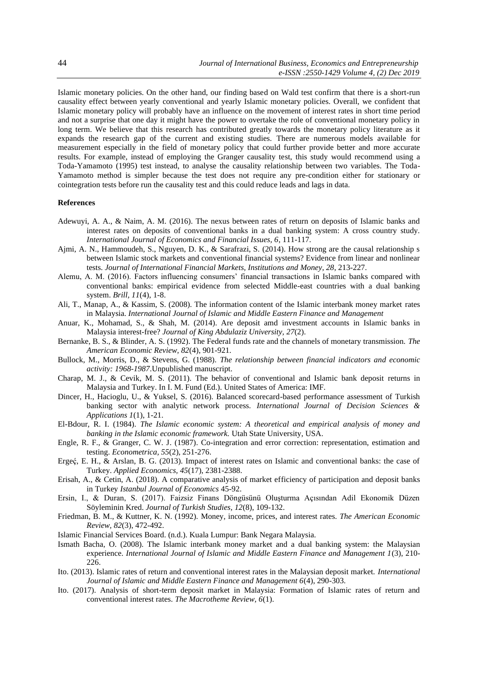Islamic monetary policies. On the other hand, our finding based on Wald test confirm that there is a short-run causality effect between yearly conventional and yearly Islamic monetary policies. Overall, we confident that Islamic monetary policy will probably have an influence on the movement of interest rates in short time period and not a surprise that one day it might have the power to overtake the role of conventional monetary policy in long term. We believe that this research has contributed greatly towards the monetary policy literature as it expands the research gap of the current and existing studies. There are numerous models available for measurement especially in the field of monetary policy that could further provide better and more accurate results. For example, instead of employing the Granger causality test, this study would recommend using a Toda-Yamamoto (1995) test instead, to analyse the causality relationship between two variables. The Toda-Yamamoto method is simpler because the test does not require any pre-condition either for stationary or cointegration tests before run the causality test and this could reduce leads and lags in data.

## **References**

- Adewuyi, A. A., & Naim, A. M. (2016). The nexus between rates of return on deposits of Islamic banks and interest rates on deposits of conventional banks in a dual banking system: A cross country study. *International Journal of Economics and Financial Issues, 6*, 111-117.
- Ajmi, A. N., Hammoudeh, S., Nguyen, D. K., & Sarafrazi, S. (2014). How strong are the causal relationship s between Islamic stock markets and conventional financial systems? Evidence from linear and nonlinear tests. *Journal of International Financial Markets, Institutions and Money, 28*, 213-227.
- Alemu, A. M. (2016). Factors influencing consumers' financial transactions in Islamic banks compared with conventional banks: empirical evidence from selected Middle-east countries with a dual banking system. *Brill, 11*(4), 1-8.
- Ali, T., Manap, A., & Kassim, S. (2008). The information content of the Islamic interbank money market rates in Malaysia. *International Journal of Islamic and Middle Eastern Finance and Management*
- Anuar, K., Mohamad, S., & Shah, M. (2014). Are deposit amd investment accounts in Islamic banks in Malaysia interest-free? *Journal of King Abdulaziz University, 27*(2).
- Bernanke, B. S., & Blinder, A. S. (1992). The Federal funds rate and the channels of monetary transmission. *The American Economic Review, 82*(4), 901-921.
- Bullock, M., Morris, D., & Stevens, G. (1988). *The relationship between financial indicators and economic activity: 1968-1987*.Unpublished manuscript.
- Charap, M. J., & Cevik, M. S. (2011). The behavior of conventional and Islamic bank deposit returns in Malaysia and Turkey. In I. M. Fund (Ed.). United States of America: IMF.
- Dincer, H., Hacioglu, U., & Yuksel, S. (2016). Balanced scorecard-based performance assessment of Turkish banking sector with analytic network process. *International Journal of Decision Sciences & Applications 1*(1), 1-21.
- El-Bdour, R. I. (1984). *The Islamic economic system: A theoretical and empirical analysis of money and banking in the Islamic economic framework.* Utah State University, USA.
- Engle, R. F., & Granger, C. W. J. (1987). Co-integration and error correction: representation, estimation and testing. *Econometrica, 55*(2), 251-276.
- Ergeć, E. H., & Arslan, B. G. (2013). Impact of interest rates on Islamic and conventional banks: the case of Turkey. *Applied Economics, 45*(17), 2381-2388.
- Erisah, A., & Cetin, A. (2018). A comparative analysis of market efficiency of participation and deposit banks in Turkey *Istanbul Journal of Economics* 45-92.
- Ersin, I., & Duran, S. (2017). Faizsiz Finans Döngüsünü Oluşturma Açısından Adil Ekonomik Düzen Söyleminin Kred. *Journal of Turkish Studies, 12*(8), 109-132.
- Friedman, B. M., & Kuttner, K. N. (1992). Money, income, prices, and interest rates. *The American Economic Review, 82*(3), 472-492.
- Islamic Financial Services Board. (n.d.). Kuala Lumpur: Bank Negara Malaysia.
- Ismath Bacha, O. (2008). The Islamic interbank money market and a dual banking system: the Malaysian experience. *International Journal of Islamic and Middle Eastern Finance and Management 1*(3), 210- 226.
- Ito. (2013). Islamic rates of return and conventional interest rates in the Malaysian deposit market. *International Journal of Islamic and Middle Eastern Finance and Management 6*(4), 290-303.
- Ito. (2017). Analysis of short-term deposit market in Malaysia: Formation of Islamic rates of return and conventional interest rates. *The Macrotheme Review, 6*(1).